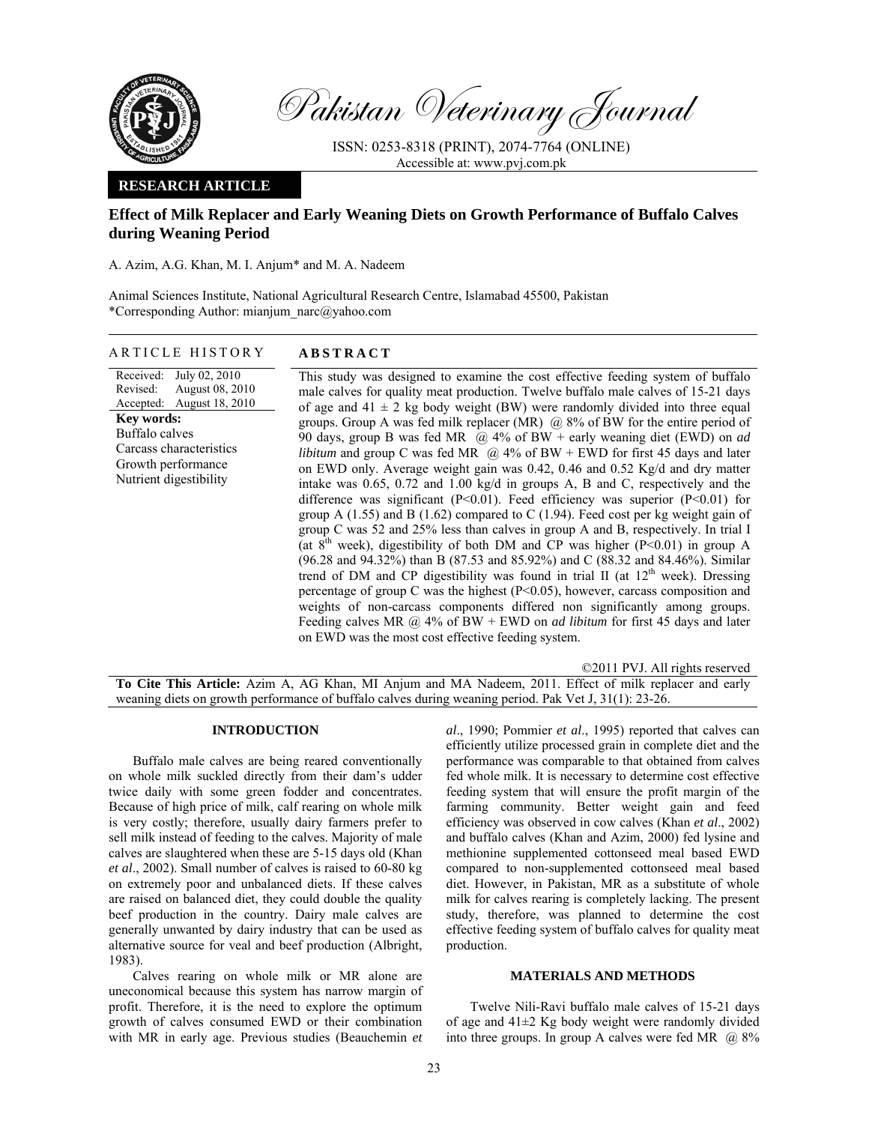

Pakistan Veterinary Journal

ISSN: 0253-8318 (PRINT), 2074-7764 (ONLINE) Accessible at: www.pvj.com.pk

### **RESEARCH ARTICLE**

# **Effect of Milk Replacer and Early Weaning Diets on Growth Performance of Buffalo Calves during Weaning Period**

A. Azim, A.G. Khan, M. I. Anjum\* and M. A. Nadeem

Animal Sciences Institute, National Agricultural Research Centre, Islamabad 45500, Pakistan \*Corresponding Author: mianjum\_narc@yahoo.com

### ARTICLE HISTORY **ABSTRACT**

#### Received: Revised: Accepted: July 02, 2010 August 08, 2010 August 18, 2010 **Key words:**  Buffalo calves Carcass characteristics Growth performance Nutrient digestibility

This study was designed to examine the cost effective feeding system of buffalo

male calves for quality meat production. Twelve buffalo male calves of 15-21 days of age and  $41 \pm 2$  kg body weight (BW) were randomly divided into three equal groups. Group A was fed milk replacer (MR)  $\omega$  8% of BW for the entire period of 90 days, group B was fed MR @ 4% of BW + early weaning diet (EWD) on *ad libitum* and group C was fed MR  $\left(\frac{\partial}{\partial x}\right)$  4% of BW + EWD for first 45 days and later on EWD only. Average weight gain was 0.42, 0.46 and 0.52 Kg/d and dry matter intake was 0.65, 0.72 and 1.00 kg/d in groups A, B and C, respectively and the difference was significant (P<0.01). Feed efficiency was superior (P<0.01) for group A (1.55) and B (1.62) compared to C (1.94). Feed cost per kg weight gain of group C was 52 and 25% less than calves in group A and B, respectively. In trial I (at  $8<sup>th</sup>$  week), digestibility of both DM and CP was higher (P<0.01) in group A (96.28 and 94.32%) than B (87.53 and 85.92%) and C (88.32 and 84.46%). Similar trend of DM and CP digestibility was found in trial II (at  $12<sup>th</sup>$  week). Dressing percentage of group C was the highest (P<0.05), however, carcass composition and weights of non-carcass components differed non significantly among groups. Feeding calves MR @ 4% of BW + EWD on *ad libitum* for first 45 days and later on EWD was the most cost effective feeding system.

©2011 PVJ. All rights reserved **To Cite This Article:** Azim A, AG Khan, MI Anjum and MA Nadeem, 2011. Effect of milk replacer and early weaning diets on growth performance of buffalo calves during weaning period. Pak Vet J, 31(1): 23-26.

### **INTRODUCTION**

Buffalo male calves are being reared conventionally on whole milk suckled directly from their dam's udder twice daily with some green fodder and concentrates. Because of high price of milk, calf rearing on whole milk is very costly; therefore, usually dairy farmers prefer to sell milk instead of feeding to the calves. Majority of male calves are slaughtered when these are 5-15 days old (Khan *et al*., 2002). Small number of calves is raised to 60-80 kg on extremely poor and unbalanced diets. If these calves are raised on balanced diet, they could double the quality beef production in the country. Dairy male calves are generally unwanted by dairy industry that can be used as alternative source for veal and beef production (Albright, 1983).

Calves rearing on whole milk or MR alone are uneconomical because this system has narrow margin of profit. Therefore, it is the need to explore the optimum growth of calves consumed EWD or their combination with MR in early age. Previous studies (Beauchemin *et* 

*al*., 1990; Pommier *et al*., 1995) reported that calves can efficiently utilize processed grain in complete diet and the performance was comparable to that obtained from calves fed whole milk. It is necessary to determine cost effective feeding system that will ensure the profit margin of the farming community. Better weight gain and feed efficiency was observed in cow calves (Khan *et al*., 2002) and buffalo calves (Khan and Azim, 2000) fed lysine and methionine supplemented cottonseed meal based EWD compared to non-supplemented cottonseed meal based diet. However, in Pakistan, MR as a substitute of whole milk for calves rearing is completely lacking. The present study, therefore, was planned to determine the cost effective feeding system of buffalo calves for quality meat production.

## **MATERIALS AND METHODS**

Twelve Nili-Ravi buffalo male calves of 15-21 days of age and 41±2 Kg body weight were randomly divided into three groups. In group A calves were fed MR  $\omega$  8%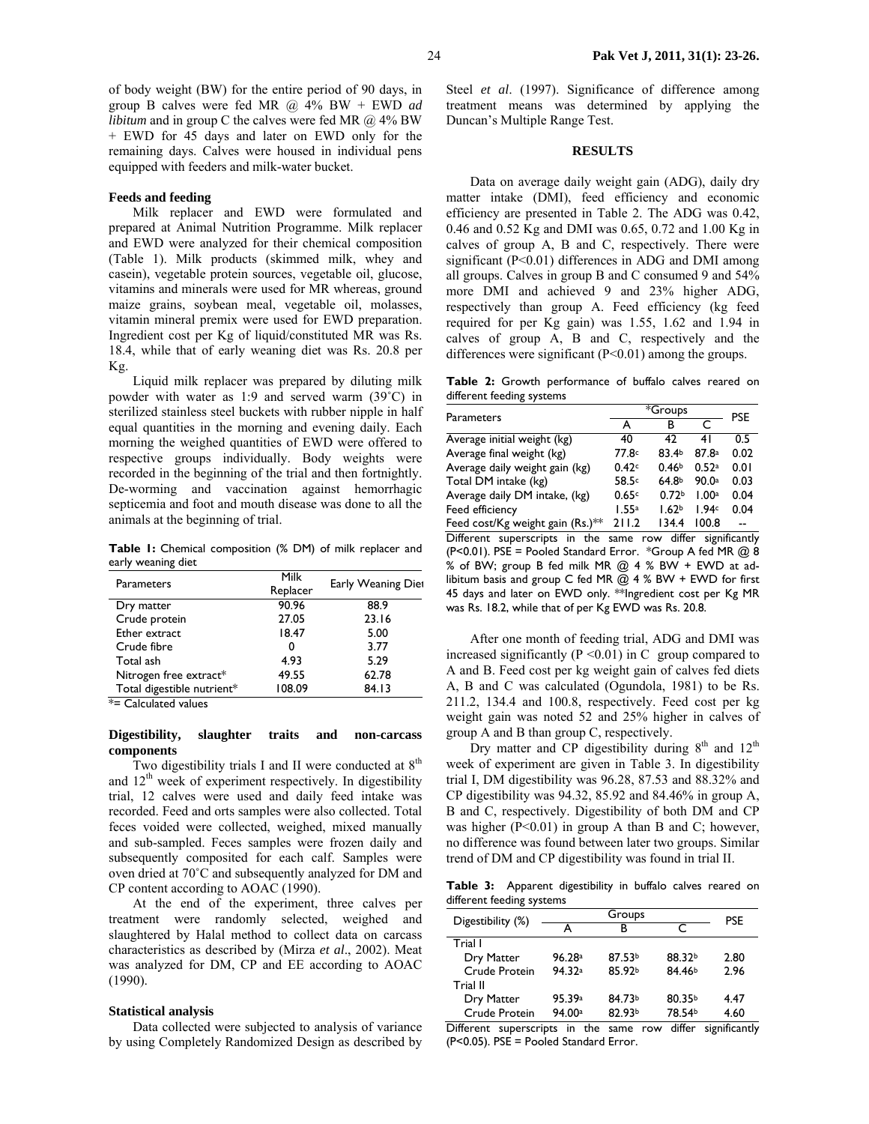of body weight (BW) for the entire period of 90 days, in group B calves were fed MR @ 4% BW + EWD *ad libitum* and in group C the calves were fed MR  $(a)$  4% BW + EWD for 45 days and later on EWD only for the remaining days. Calves were housed in individual pens equipped with feeders and milk-water bucket.

#### **Feeds and feeding**

Milk replacer and EWD were formulated and prepared at Animal Nutrition Programme. Milk replacer and EWD were analyzed for their chemical composition (Table 1). Milk products (skimmed milk, whey and casein), vegetable protein sources, vegetable oil, glucose, vitamins and minerals were used for MR whereas, ground maize grains, soybean meal, vegetable oil, molasses, vitamin mineral premix were used for EWD preparation. Ingredient cost per Kg of liquid/constituted MR was Rs. 18.4, while that of early weaning diet was Rs. 20.8 per Kg.

Liquid milk replacer was prepared by diluting milk powder with water as 1:9 and served warm (39˚C) in sterilized stainless steel buckets with rubber nipple in half equal quantities in the morning and evening daily. Each morning the weighed quantities of EWD were offered to respective groups individually. Body weights were recorded in the beginning of the trial and then fortnightly. De-worming and vaccination against hemorrhagic septicemia and foot and mouth disease was done to all the animals at the beginning of trial.

**Table 1:** Chemical composition (% DM) of milk replacer and early weaning diet

| Parameters                 | Milk     | Early Weaning Diet |  |
|----------------------------|----------|--------------------|--|
|                            | Replacer |                    |  |
| Dry matter                 | 90.96    | 88.9               |  |
| Crude protein              | 27.05    | 23.16              |  |
| Ether extract              | 18.47    | 5.00               |  |
| Crude fibre                | 0        | 3.77               |  |
| Total ash                  | 4.93     | 5.29               |  |
| Nitrogen free extract*     | 49.55    | 62.78              |  |
| Total digestible nutrient* | 108.09   | 84.13              |  |

\*= Calculated values

### **Digestibility, slaughter traits and non-carcass components**

Two digestibility trials I and II were conducted at  $8<sup>th</sup>$ and  $12<sup>th</sup>$  week of experiment respectively. In digestibility trial, 12 calves were used and daily feed intake was recorded. Feed and orts samples were also collected. Total feces voided were collected, weighed, mixed manually and sub-sampled. Feces samples were frozen daily and subsequently composited for each calf. Samples were oven dried at 70˚C and subsequently analyzed for DM and CP content according to AOAC (1990).

At the end of the experiment, three calves per treatment were randomly selected, weighed and slaughtered by Halal method to collect data on carcass characteristics as described by (Mirza *et al*., 2002). Meat was analyzed for DM, CP and EE according to AOAC (1990).

#### **Statistical analysis**

Data collected were subjected to analysis of variance by using Completely Randomized Design as described by

Steel *et al*. (1997). Significance of difference among treatment means was determined by applying the Duncan's Multiple Range Test.

### **RESULTS**

Data on average daily weight gain (ADG), daily dry matter intake (DMI), feed efficiency and economic efficiency are presented in Table 2. The ADG was 0.42, 0.46 and 0.52 Kg and DMI was 0.65, 0.72 and 1.00 Kg in calves of group A, B and C, respectively. There were significant (P<0.01) differences in ADG and DMI among all groups. Calves in group B and C consumed 9 and 54% more DMI and achieved 9 and 23% higher ADG, respectively than group A. Feed efficiency (kg feed required for per Kg gain) was 1.55, 1.62 and 1.94 in calves of group A, B and C, respectively and the differences were significant  $(P<0.01)$  among the groups.

**Table 2:** Growth performance of buffalo calves reared on different feeding systems

| <b>Parameters</b>                | *Groups | <b>PSE</b>        |                   |      |
|----------------------------------|---------|-------------------|-------------------|------|
|                                  | А       | в                 |                   |      |
| Average initial weight (kg)      | 40      | 42                | 41                | 0.5  |
| Average final weight (kg)        | 77.8c   | 83.4b             | 87.8a             | 0.02 |
| Average daily weight gain (kg)   | 0.42c   | 0.46 <sup>b</sup> | 0.52a             | 0.01 |
| Total DM intake (kg)             | 58.5c   | 64.8 <sup>b</sup> | 90.0 <sup>a</sup> | 0.03 |
| Average daily DM intake, (kg)    | 0.65c   | 0.72 <sub>b</sub> | 1.00a             | 0.04 |
| Feed efficiency                  | 1.55a   | 1.62 <sub>b</sub> | 1.94c             | 0.04 |
| Feed cost/Kg weight gain (Rs.)** | 211.2   | 134.4             | 100.8             |      |

Different superscripts in the same row differ significantly (P<0.01). PSE = Pooled Standard Error. \*Group A fed MR  $@$  8 % of BW; group B fed milk MR @ 4 % BW + EWD at adlibitum basis and group C fed MR  $@$  4 % BW + EWD for first 45 days and later on EWD only. \*\*Ingredient cost per Kg MR was Rs. 18.2, while that of per Kg EWD was Rs. 20.8.

After one month of feeding trial, ADG and DMI was increased significantly ( $P \le 0.01$ ) in C group compared to A and B. Feed cost per kg weight gain of calves fed diets A, B and C was calculated (Ogundola, 1981) to be Rs. 211.2, 134.4 and 100.8, respectively. Feed cost per kg weight gain was noted 52 and 25% higher in calves of group A and B than group C, respectively.

Dry matter and CP digestibility during  $8<sup>th</sup>$  and  $12<sup>th</sup>$ week of experiment are given in Table 3. In digestibility trial I, DM digestibility was 96.28, 87.53 and 88.32% and CP digestibility was 94.32, 85.92 and 84.46% in group A, B and C, respectively. Digestibility of both DM and CP was higher (P<0.01) in group A than B and C; however, no difference was found between later two groups. Similar trend of DM and CP digestibility was found in trial II.

**Table 3:** Apparent digestibility in buffalo calves reared on different feeding systems

| Digestibility (%) |        | <b>PSE</b>         |                    |      |
|-------------------|--------|--------------------|--------------------|------|
|                   | А      | r<br>R             |                    |      |
| Trial I           |        |                    |                    |      |
| Dry Matter        | 96.28a | 87.53 <sup>b</sup> | 88.32b             | 2.80 |
| Crude Protein     | 94.32a | 85.92b             | 84.46 <sup>b</sup> | 2.96 |
| Trial II          |        |                    |                    |      |
| Dry Matter        | 95.39a | 84.73b             | 80.35 <sup>b</sup> | 4.47 |
| Crude Protein     | 94.00a | 82.93b             | 78.54b             | 4.60 |

Different superscripts in the same row differ significantly (P<0.05). PSE = Pooled Standard Error.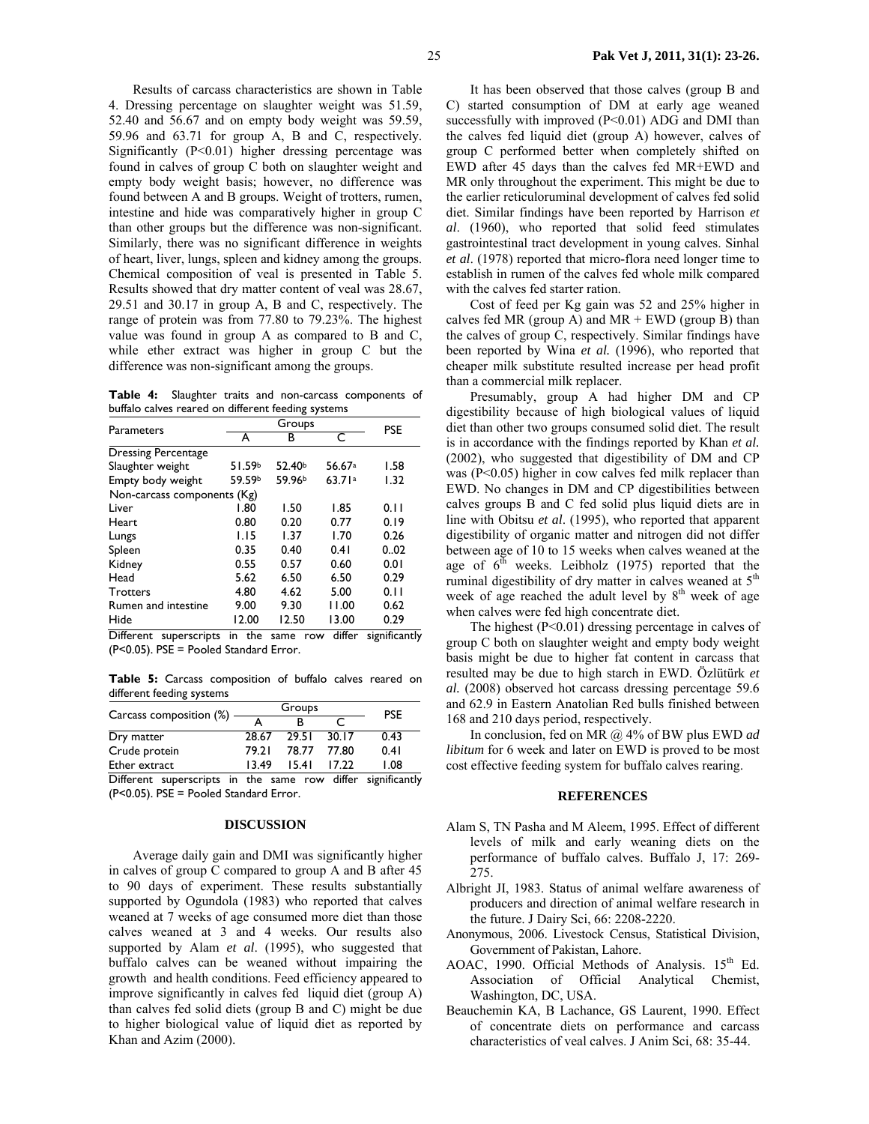Results of carcass characteristics are shown in Table 4. Dressing percentage on slaughter weight was 51.59, 52.40 and 56.67 and on empty body weight was 59.59, 59.96 and 63.71 for group A, B and C, respectively. Significantly (P<0.01) higher dressing percentage was found in calves of group C both on slaughter weight and empty body weight basis; however, no difference was found between A and B groups. Weight of trotters, rumen, intestine and hide was comparatively higher in group C than other groups but the difference was non-significant. Similarly, there was no significant difference in weights of heart, liver, lungs, spleen and kidney among the groups. Chemical composition of veal is presented in Table 5. Results showed that dry matter content of veal was 28.67, 29.51 and 30.17 in group A, B and C, respectively. The range of protein was from 77.80 to 79.23%. The highest value was found in group A as compared to B and C, while ether extract was higher in group C but the difference was non-significant among the groups.

**Table 4:** Slaughter traits and non-carcass components of buffalo calves reared on different feeding systems

| Parameters                  |        | <b>PSE</b>         |        |      |
|-----------------------------|--------|--------------------|--------|------|
|                             | А      | в                  | C      |      |
| <b>Dressing Percentage</b>  |        |                    |        |      |
| Slaughter weight            | 51.59b | 52.40 <sup>b</sup> | 56.67a | 1.58 |
| Empty body weight           | 59.59b | 59.96 <sup>b</sup> | 63.71a | 1.32 |
| Non-carcass components (Kg) |        |                    |        |      |
| Liver                       | 1.80   | 1.50               | 1.85   | 0.11 |
| Heart                       | 0.80   | 0.20               | 0.77   | 0.19 |
| Lungs                       | 1.15   | 1.37               | 1.70   | 0.26 |
| Spleen                      | 0.35   | 0.40               | 0.41   | 0.02 |
| Kidney                      | 0.55   | 0.57               | 0.60   | 0.01 |
| Head                        | 5.62   | 6.50               | 6.50   | 0.29 |
| <b>Trotters</b>             | 4.80   | 4.62               | 5.00   | 0.11 |
| Rumen and intestine         | 9.00   | 9.30               | 11.00  | 0.62 |
| Hide                        | 12.00  | 12.50              | 13.00  | 0.29 |

Different superscripts in the same row differ significantly (P<0.05). PSE = Pooled Standard Error.

**Table 5:** Carcass composition of buffalo calves reared on different feeding systems

| Carcass composition (%) | Groups |       |       | <b>PSE</b> |
|-------------------------|--------|-------|-------|------------|
|                         |        |       |       |            |
| Dry matter              | 28.67  | 29.51 | 30.17 | 0.43       |
| Crude protein           | 79.21  | 78.77 | 77.80 | 0.41       |
| Ether extract           | 13.49  | 1541  | 17 22 | 1.08       |
| $-$                     |        |       | .     | $\sim$     |

Different superscripts in the same row differ significantly (P<0.05). PSE = Pooled Standard Error.

### **DISCUSSION**

Average daily gain and DMI was significantly higher in calves of group C compared to group A and B after 45 to 90 days of experiment. These results substantially supported by Ogundola (1983) who reported that calves weaned at 7 weeks of age consumed more diet than those calves weaned at 3 and 4 weeks. Our results also supported by Alam *et al*. (1995), who suggested that buffalo calves can be weaned without impairing the growth and health conditions. Feed efficiency appeared to improve significantly in calves fed liquid diet (group A) than calves fed solid diets (group B and C) might be due to higher biological value of liquid diet as reported by Khan and Azim (2000).

It has been observed that those calves (group B and C) started consumption of DM at early age weaned successfully with improved  $(P<0.01)$  ADG and DMI than the calves fed liquid diet (group A) however, calves of group C performed better when completely shifted on EWD after 45 days than the calves fed MR+EWD and MR only throughout the experiment. This might be due to the earlier reticuloruminal development of calves fed solid diet. Similar findings have been reported by Harrison *et al*. (1960), who reported that solid feed stimulates gastrointestinal tract development in young calves. Sinhal *et al*. (1978) reported that micro-flora need longer time to establish in rumen of the calves fed whole milk compared with the calves fed starter ration.

Cost of feed per Kg gain was 52 and 25% higher in calves fed MR (group A) and  $MR + EWD$  (group B) than the calves of group C, respectively. Similar findings have been reported by Wina *et al.* (1996), who reported that cheaper milk substitute resulted increase per head profit than a commercial milk replacer.

Presumably, group A had higher DM and CP digestibility because of high biological values of liquid diet than other two groups consumed solid diet. The result is in accordance with the findings reported by Khan *et al.* (2002), who suggested that digestibility of DM and CP was (P<0.05) higher in cow calves fed milk replacer than EWD. No changes in DM and CP digestibilities between calves groups B and C fed solid plus liquid diets are in line with Obitsu *et al*. (1995), who reported that apparent digestibility of organic matter and nitrogen did not differ between age of 10 to 15 weeks when calves weaned at the age of  $6<sup>th</sup>$  weeks. Leibholz (1975) reported that the ruminal digestibility of dry matter in calves weaned at  $5<sup>th</sup>$ week of age reached the adult level by  $8<sup>th</sup>$  week of age when calves were fed high concentrate diet.

The highest (P<0.01) dressing percentage in calves of group C both on slaughter weight and empty body weight basis might be due to higher fat content in carcass that resulted may be due to high starch in EWD. Özlütürk *et al.* (2008) observed hot carcass dressing percentage 59.6 and 62.9 in Eastern Anatolian Red bulls finished between 168 and 210 days period, respectively.

In conclusion, fed on MR @ 4% of BW plus EWD *ad libitum* for 6 week and later on EWD is proved to be most cost effective feeding system for buffalo calves rearing.

#### **REFERENCES**

- Alam S, TN Pasha and M Aleem, 1995. Effect of different levels of milk and early weaning diets on the performance of buffalo calves. Buffalo J, 17: 269- 275.
- Albright JI, 1983. Status of animal welfare awareness of producers and direction of animal welfare research in the future. J Dairy Sci, 66: 2208-2220.
- Anonymous, 2006. Livestock Census, Statistical Division, Government of Pakistan, Lahore.
- AOAC, 1990. Official Methods of Analysis.  $15<sup>th</sup>$  Ed. Association of Official Analytical Chemist, Washington, DC, USA.
- Beauchemin KA, B Lachance, GS Laurent, 1990. Effect of concentrate diets on performance and carcass characteristics of veal calves. J Anim Sci, 68: 35-44.